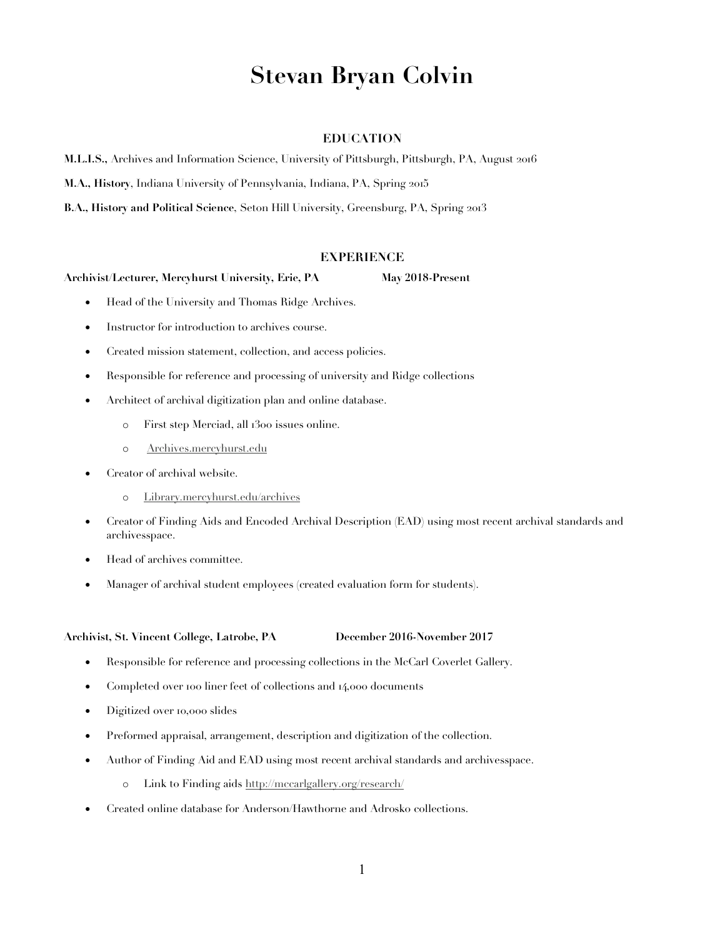# **Stevan Bryan Colvin**

# **EDUCATION**

**M.L.I.S.,** Archives and Information Science, University of Pittsburgh, Pittsburgh, PA, August 2016

**M.A., History**, Indiana University of Pennsylvania, Indiana, PA, Spring 2015

**B.A., History and Political Science**, Seton Hill University, Greensburg, PA, Spring 2013

# **EXPERIENCE**

### **Archivist/Lecturer, Mercyhurst University, Erie, PA May 2018-Present**

- Head of the University and Thomas Ridge Archives.
- Instructor for introduction to archives course.
- Created mission statement, collection, and access policies.
- Responsible for reference and processing of university and Ridge collections
- Architect of archival digitization plan and online database.
	- o First step Merciad, all 1300 issues online.
	- o Archives.mercyhurst.edu
- Creator of archival website.
	- o Library.mercyhurst.edu/archives
- Creator 0f Finding Aids and Encoded Archival Description (EAD) using most recent archival standards and archivesspace.
- Head of archives committee.
- Manager of archival student employees (created evaluation form for students).

### **Archivist, St. Vincent College, Latrobe, PA December 2016-November 2017**

- Responsible for reference and processing collections in the McCarl Coverlet Gallery.
- Completed over 100 liner feet of collections and 14,000 documents
- Digitized over 10,000 slides
- Preformed appraisal, arrangement, description and digitization of the collection.
- Author of Finding Aid and EAD using most recent archival standards and archivesspace.
	- o Link to Finding aids http://mccarlgallery.org/research/
- Created online database for Anderson/Hawthorne and Adrosko collections.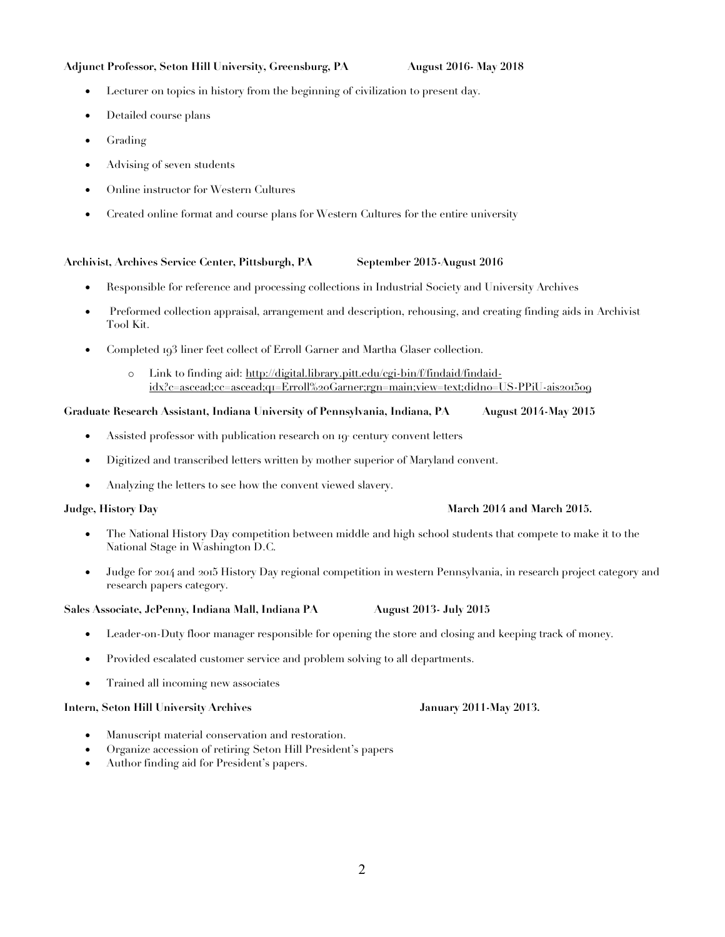# **Adjunct Professor, Seton Hill University, Greensburg, PA August 2016- May 2018**

- Lecturer on topics in history from the beginning of civilization to present day.
- Detailed course plans
- Grading
- Advising of seven students
- Online instructor for Western Cultures
- Created online format and course plans for Western Cultures for the entire university

# **Archivist, Archives Service Center, Pittsburgh, PA September 2015-August 2016**

- Responsible for reference and processing collections in Industrial Society and University Archives
- Preformed collection appraisal, arrangement and description, rehousing, and creating finding aids in Archivist Tool Kit.
- Completed 193 liner feet collect of Erroll Garner and Martha Glaser collection.
	- o Link to finding aid: http://digital.library.pitt.edu/cgi-bin/f/findaid/findaididx?c=ascead;cc=ascead;q1=Erroll%20Garner;rgn=main;view=text;didno=US-PPiU-ais201509

### **Graduate Research Assistant, Indiana University of Pennsylvania, Indiana, PA August 2014-May 2015**

- Assisted professor with publication research on 19<sup>e</sup> century convent letters
- Digitized and transcribed letters written by mother superior of Maryland convent.
- Analyzing the letters to see how the convent viewed slavery.

- The National History Day competition between middle and high school students that compete to make it to the National Stage in Washington D.C.
- Judge for 2014 and 2015 History Day regional competition in western Pennsylvania, in research project category and research papers category.

# **Sales Associate, JcPenny, Indiana Mall, Indiana PA August 2013- July 2015**

- Leader-on-Duty floor manager responsible for opening the store and closing and keeping track of money.
- Provided escalated customer service and problem solving to all departments.
- Trained all incoming new associates

# **Intern, Seton Hill University Archives January 2011-May 2013.**

- Manuscript material conservation and restoration.
- Organize accession of retiring Seton Hill President's papers
- Author finding aid for President's papers.

# **Judge, History Day March 2014 and March 2015.**